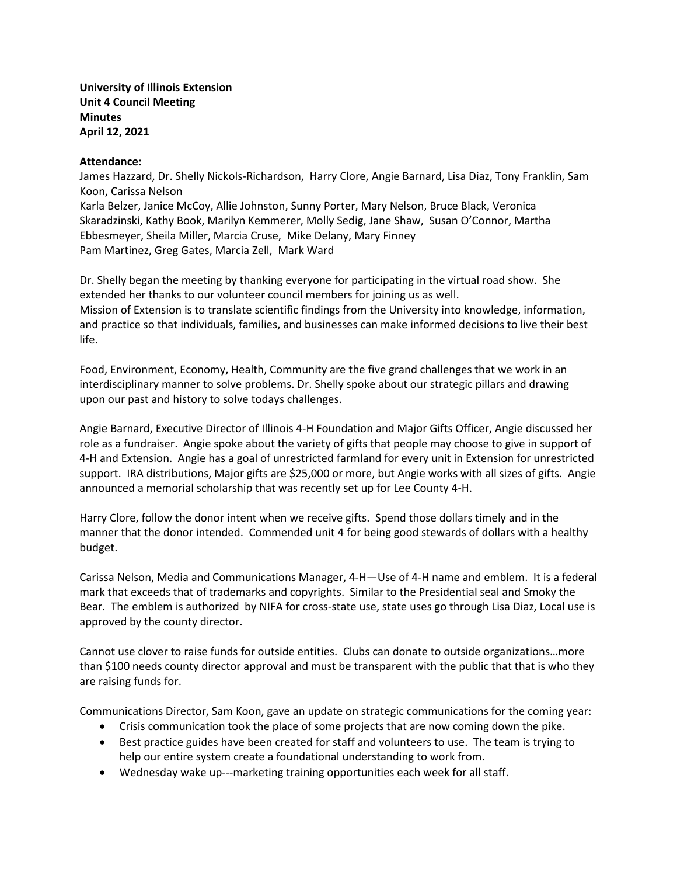**University of Illinois Extension Unit 4 Council Meeting Minutes April 12, 2021**

### **Attendance:**

James Hazzard, Dr. Shelly Nickols-Richardson, Harry Clore, Angie Barnard, Lisa Diaz, Tony Franklin, Sam Koon, Carissa Nelson Karla Belzer, Janice McCoy, Allie Johnston, Sunny Porter, Mary Nelson, Bruce Black, Veronica Skaradzinski, Kathy Book, Marilyn Kemmerer, Molly Sedig, Jane Shaw, Susan O'Connor, Martha Ebbesmeyer, Sheila Miller, Marcia Cruse, Mike Delany, Mary Finney Pam Martinez, Greg Gates, Marcia Zell, Mark Ward

Dr. Shelly began the meeting by thanking everyone for participating in the virtual road show. She extended her thanks to our volunteer council members for joining us as well. Mission of Extension is to translate scientific findings from the University into knowledge, information, and practice so that individuals, families, and businesses can make informed decisions to live their best life.

Food, Environment, Economy, Health, Community are the five grand challenges that we work in an interdisciplinary manner to solve problems. Dr. Shelly spoke about our strategic pillars and drawing upon our past and history to solve todays challenges.

Angie Barnard, Executive Director of Illinois 4-H Foundation and Major Gifts Officer, Angie discussed her role as a fundraiser. Angie spoke about the variety of gifts that people may choose to give in support of 4-H and Extension. Angie has a goal of unrestricted farmland for every unit in Extension for unrestricted support. IRA distributions, Major gifts are \$25,000 or more, but Angie works with all sizes of gifts. Angie announced a memorial scholarship that was recently set up for Lee County 4-H.

Harry Clore, follow the donor intent when we receive gifts. Spend those dollars timely and in the manner that the donor intended. Commended unit 4 for being good stewards of dollars with a healthy budget.

Carissa Nelson, Media and Communications Manager, 4-H—Use of 4-H name and emblem. It is a federal mark that exceeds that of trademarks and copyrights. Similar to the Presidential seal and Smoky the Bear. The emblem is authorized by NIFA for cross-state use, state uses go through Lisa Diaz, Local use is approved by the county director.

Cannot use clover to raise funds for outside entities. Clubs can donate to outside organizations…more than \$100 needs county director approval and must be transparent with the public that that is who they are raising funds for.

Communications Director, Sam Koon, gave an update on strategic communications for the coming year:

- Crisis communication took the place of some projects that are now coming down the pike.
- Best practice guides have been created for staff and volunteers to use. The team is trying to help our entire system create a foundational understanding to work from.
- Wednesday wake up---marketing training opportunities each week for all staff.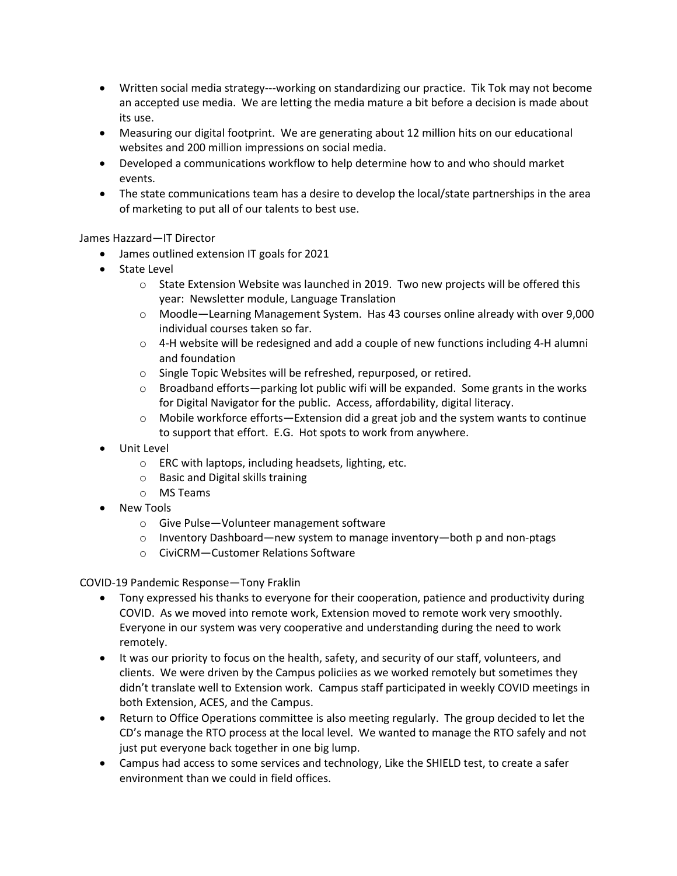- Written social media strategy---working on standardizing our practice. Tik Tok may not become an accepted use media. We are letting the media mature a bit before a decision is made about its use.
- Measuring our digital footprint. We are generating about 12 million hits on our educational websites and 200 million impressions on social media.
- Developed a communications workflow to help determine how to and who should market events.
- The state communications team has a desire to develop the local/state partnerships in the area of marketing to put all of our talents to best use.

# James Hazzard—IT Director

- James outlined extension IT goals for 2021
- State Level
	- $\circ$  State Extension Website was launched in 2019. Two new projects will be offered this year: Newsletter module, Language Translation
	- o Moodle—Learning Management System. Has 43 courses online already with over 9,000 individual courses taken so far.
	- $\circ$  4-H website will be redesigned and add a couple of new functions including 4-H alumni and foundation
	- o Single Topic Websites will be refreshed, repurposed, or retired.
	- $\circ$  Broadband efforts—parking lot public wifi will be expanded. Some grants in the works for Digital Navigator for the public. Access, affordability, digital literacy.
	- $\circ$  Mobile workforce efforts—Extension did a great job and the system wants to continue to support that effort. E.G. Hot spots to work from anywhere.
- Unit Level
	- o ERC with laptops, including headsets, lighting, etc.
	- o Basic and Digital skills training
	- o MS Teams
- New Tools
	- o Give Pulse—Volunteer management software
	- $\circ$  Inventory Dashboard—new system to manage inventory—both p and non-ptags
	- o CiviCRM—Customer Relations Software

COVID-19 Pandemic Response—Tony Fraklin

- Tony expressed his thanks to everyone for their cooperation, patience and productivity during COVID. As we moved into remote work, Extension moved to remote work very smoothly. Everyone in our system was very cooperative and understanding during the need to work remotely.
- It was our priority to focus on the health, safety, and security of our staff, volunteers, and clients. We were driven by the Campus policiies as we worked remotely but sometimes they didn't translate well to Extension work. Campus staff participated in weekly COVID meetings in both Extension, ACES, and the Campus.
- Return to Office Operations committee is also meeting regularly. The group decided to let the CD's manage the RTO process at the local level. We wanted to manage the RTO safely and not just put everyone back together in one big lump.
- Campus had access to some services and technology, Like the SHIELD test, to create a safer environment than we could in field offices.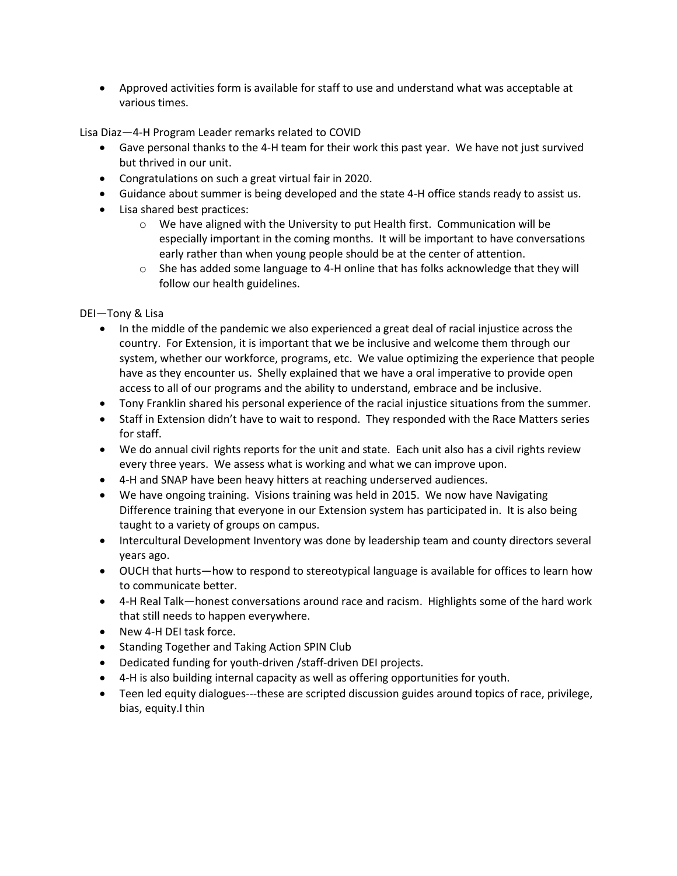• Approved activities form is available for staff to use and understand what was acceptable at various times.

Lisa Diaz—4-H Program Leader remarks related to COVID

- Gave personal thanks to the 4-H team for their work this past year. We have not just survived but thrived in our unit.
- Congratulations on such a great virtual fair in 2020.
- Guidance about summer is being developed and the state 4-H office stands ready to assist us.
- Lisa shared best practices:
	- $\circ$  We have aligned with the University to put Health first. Communication will be especially important in the coming months. It will be important to have conversations early rather than when young people should be at the center of attention.
	- $\circ$  She has added some language to 4-H online that has folks acknowledge that they will follow our health guidelines.

DEI—Tony & Lisa

- In the middle of the pandemic we also experienced a great deal of racial injustice across the country. For Extension, it is important that we be inclusive and welcome them through our system, whether our workforce, programs, etc. We value optimizing the experience that people have as they encounter us. Shelly explained that we have a oral imperative to provide open access to all of our programs and the ability to understand, embrace and be inclusive.
- Tony Franklin shared his personal experience of the racial injustice situations from the summer.
- Staff in Extension didn't have to wait to respond. They responded with the Race Matters series for staff.
- We do annual civil rights reports for the unit and state. Each unit also has a civil rights review every three years. We assess what is working and what we can improve upon.
- 4-H and SNAP have been heavy hitters at reaching underserved audiences.
- We have ongoing training. Visions training was held in 2015. We now have Navigating Difference training that everyone in our Extension system has participated in. It is also being taught to a variety of groups on campus.
- Intercultural Development Inventory was done by leadership team and county directors several years ago.
- OUCH that hurts—how to respond to stereotypical language is available for offices to learn how to communicate better.
- 4-H Real Talk—honest conversations around race and racism. Highlights some of the hard work that still needs to happen everywhere.
- New 4-H DEI task force.
- Standing Together and Taking Action SPIN Club
- Dedicated funding for youth-driven /staff-driven DEI projects.
- 4-H is also building internal capacity as well as offering opportunities for youth.
- Teen led equity dialogues---these are scripted discussion guides around topics of race, privilege, bias, equity.I thin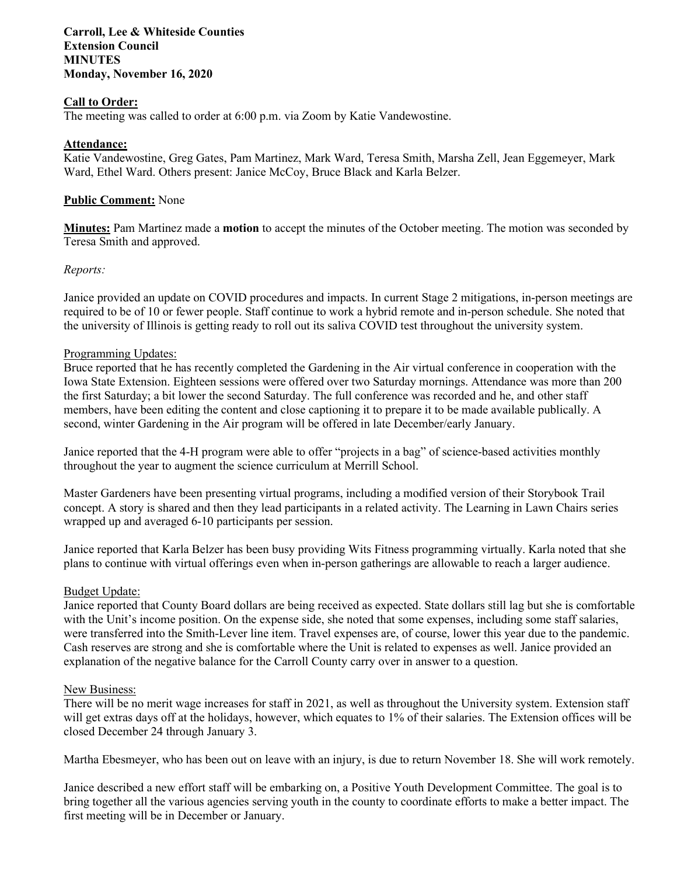## **Carroll, Lee & Whiteside Counties Extension Council MINUTES Monday, November 16, 2020**

## **Call to Order:**

The meeting was called to order at 6:00 p.m. via Zoom by Katie Vandewostine.

### **Attendance:**

Katie Vandewostine, Greg Gates, Pam Martinez, Mark Ward, Teresa Smith, Marsha Zell, Jean Eggemeyer, Mark Ward, Ethel Ward. Others present: Janice McCoy, Bruce Black and Karla Belzer.

### **Public Comment:** None

**Minutes:** Pam Martinez made a **motion** to accept the minutes of the October meeting. The motion was seconded by Teresa Smith and approved.

### *Reports:*

Janice provided an update on COVID procedures and impacts. In current Stage 2 mitigations, in-person meetings are required to be of 10 or fewer people. Staff continue to work a hybrid remote and in-person schedule. She noted that the university of Illinois is getting ready to roll out its saliva COVID test throughout the university system.

### Programming Updates:

Bruce reported that he has recently completed the Gardening in the Air virtual conference in cooperation with the Iowa State Extension. Eighteen sessions were offered over two Saturday mornings. Attendance was more than 200 the first Saturday; a bit lower the second Saturday. The full conference was recorded and he, and other staff members, have been editing the content and close captioning it to prepare it to be made available publically. A second, winter Gardening in the Air program will be offered in late December/early January.

Janice reported that the 4-H program were able to offer "projects in a bag" of science-based activities monthly throughout the year to augment the science curriculum at Merrill School.

Master Gardeners have been presenting virtual programs, including a modified version of their Storybook Trail concept. A story is shared and then they lead participants in a related activity. The Learning in Lawn Chairs series wrapped up and averaged 6-10 participants per session.

Janice reported that Karla Belzer has been busy providing Wits Fitness programming virtually. Karla noted that she plans to continue with virtual offerings even when in-person gatherings are allowable to reach a larger audience.

#### Budget Update:

Janice reported that County Board dollars are being received as expected. State dollars still lag but she is comfortable with the Unit's income position. On the expense side, she noted that some expenses, including some staff salaries, were transferred into the Smith-Lever line item. Travel expenses are, of course, lower this year due to the pandemic. Cash reserves are strong and she is comfortable where the Unit is related to expenses as well. Janice provided an explanation of the negative balance for the Carroll County carry over in answer to a question.

#### New Business:

There will be no merit wage increases for staff in 2021, as well as throughout the University system. Extension staff will get extras days off at the holidays, however, which equates to 1% of their salaries. The Extension offices will be closed December 24 through January 3.

Martha Ebesmeyer, who has been out on leave with an injury, is due to return November 18. She will work remotely.

Janice described a new effort staff will be embarking on, a Positive Youth Development Committee. The goal is to bring together all the various agencies serving youth in the county to coordinate efforts to make a better impact. The first meeting will be in December or January.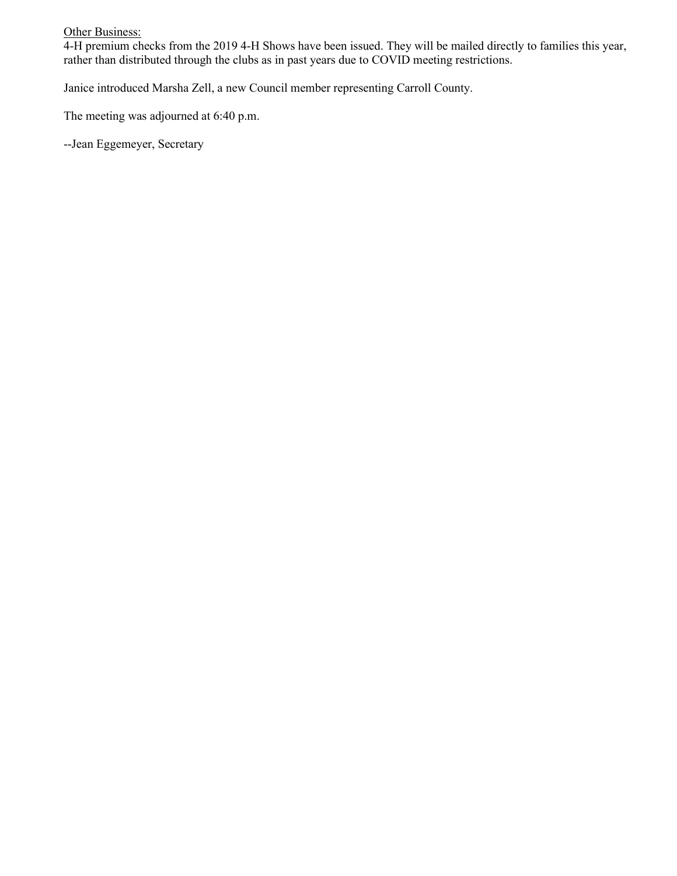**Other Business:** 

4-H premium checks from the 2019 4-H Shows have been issued. They will be mailed directly to families this year, rather than distributed through the clubs as in past years due to COVID meeting restrictions.

Janice introduced Marsha Zell, a new Council member representing Carroll County.

The meeting was adjourned at 6:40 p.m.

--Jean Eggemeyer, Secretary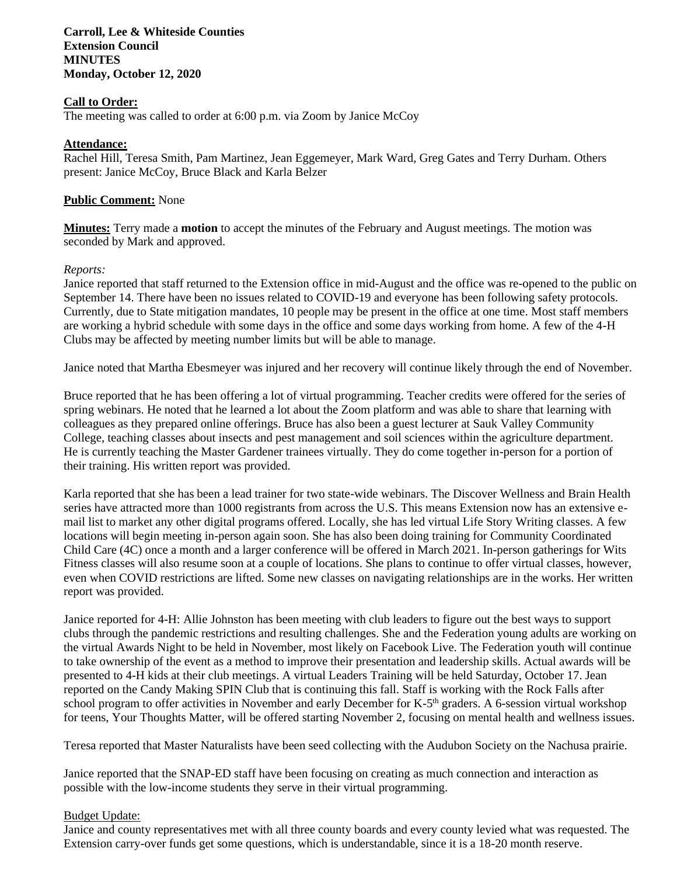**Carroll, Lee & Whiteside Counties Extension Council MINUTES Monday, October 12, 2020**

## **Call to Order:**

The meeting was called to order at 6:00 p.m. via Zoom by Janice McCoy

### **Attendance:**

Rachel Hill, Teresa Smith, Pam Martinez, Jean Eggemeyer, Mark Ward, Greg Gates and Terry Durham. Others present: Janice McCoy, Bruce Black and Karla Belzer

### **Public Comment:** None

**Minutes:** Terry made a **motion** to accept the minutes of the February and August meetings. The motion was seconded by Mark and approved.

### *Reports:*

Janice reported that staff returned to the Extension office in mid-August and the office was re-opened to the public on September 14. There have been no issues related to COVID-19 and everyone has been following safety protocols. Currently, due to State mitigation mandates, 10 people may be present in the office at one time. Most staff members are working a hybrid schedule with some days in the office and some days working from home. A few of the 4-H Clubs may be affected by meeting number limits but will be able to manage.

Janice noted that Martha Ebesmeyer was injured and her recovery will continue likely through the end of November.

Bruce reported that he has been offering a lot of virtual programming. Teacher credits were offered for the series of spring webinars. He noted that he learned a lot about the Zoom platform and was able to share that learning with colleagues as they prepared online offerings. Bruce has also been a guest lecturer at Sauk Valley Community College, teaching classes about insects and pest management and soil sciences within the agriculture department. He is currently teaching the Master Gardener trainees virtually. They do come together in-person for a portion of their training. His written report was provided.

Karla reported that she has been a lead trainer for two state-wide webinars. The Discover Wellness and Brain Health series have attracted more than 1000 registrants from across the U.S. This means Extension now has an extensive email list to market any other digital programs offered. Locally, she has led virtual Life Story Writing classes. A few locations will begin meeting in-person again soon. She has also been doing training for Community Coordinated Child Care (4C) once a month and a larger conference will be offered in March 2021. In-person gatherings for Wits Fitness classes will also resume soon at a couple of locations. She plans to continue to offer virtual classes, however, even when COVID restrictions are lifted. Some new classes on navigating relationships are in the works. Her written report was provided.

Janice reported for 4-H: Allie Johnston has been meeting with club leaders to figure out the best ways to support clubs through the pandemic restrictions and resulting challenges. She and the Federation young adults are working on the virtual Awards Night to be held in November, most likely on Facebook Live. The Federation youth will continue to take ownership of the event as a method to improve their presentation and leadership skills. Actual awards will be presented to 4-H kids at their club meetings. A virtual Leaders Training will be held Saturday, October 17. Jean reported on the Candy Making SPIN Club that is continuing this fall. Staff is working with the Rock Falls after school program to offer activities in November and early December for K-5<sup>th</sup> graders. A 6-session virtual workshop for teens, Your Thoughts Matter, will be offered starting November 2, focusing on mental health and wellness issues.

Teresa reported that Master Naturalists have been seed collecting with the Audubon Society on the Nachusa prairie.

Janice reported that the SNAP-ED staff have been focusing on creating as much connection and interaction as possible with the low-income students they serve in their virtual programming.

#### Budget Update:

Janice and county representatives met with all three county boards and every county levied what was requested. The Extension carry-over funds get some questions, which is understandable, since it is a 18-20 month reserve.